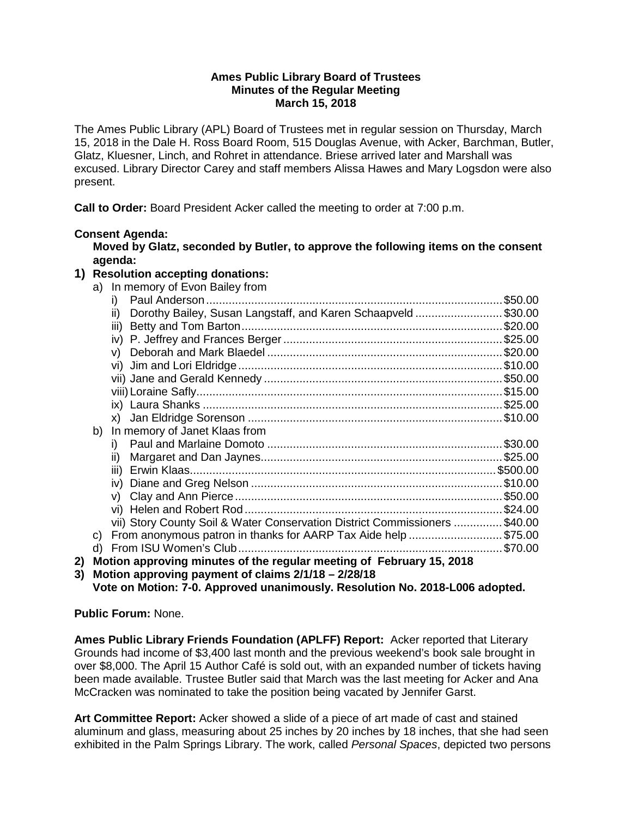## **Ames Public Library Board of Trustees Minutes of the Regular Meeting March 15, 2018**

The Ames Public Library (APL) Board of Trustees met in regular session on Thursday, March 15, 2018 in the Dale H. Ross Board Room, 515 Douglas Avenue, with Acker, Barchman, Butler, Glatz, Kluesner, Linch, and Rohret in attendance. Briese arrived later and Marshall was excused. Library Director Carey and staff members Alissa Hawes and Mary Logsdon were also present.

**Call to Order:** Board President Acker called the meeting to order at 7:00 p.m.

# **Consent Agenda:**

**Moved by Glatz, seconded by Butler, to approve the following items on the consent agenda:**

# **1) Resolution accepting donations:**

|    |    | a) In memory of Evon Bailey from                                            |         |
|----|----|-----------------------------------------------------------------------------|---------|
|    |    | i)                                                                          | \$50.00 |
|    |    | Dorothy Bailey, Susan Langstaff, and Karen Schaapveld\$30.00<br>ii)         |         |
|    |    | iii)                                                                        |         |
|    |    |                                                                             |         |
|    |    | V)                                                                          |         |
|    |    |                                                                             |         |
|    |    |                                                                             |         |
|    |    |                                                                             |         |
|    |    |                                                                             |         |
|    |    |                                                                             |         |
|    | b) | In memory of Janet Klaas from                                               |         |
|    |    | i)                                                                          |         |
|    |    | ii)                                                                         |         |
|    |    |                                                                             |         |
|    |    | iv)                                                                         |         |
|    |    | V)                                                                          |         |
|    |    |                                                                             |         |
|    |    | vii) Story County Soil & Water Conservation District Commissioners  \$40.00 |         |
|    | C) | From anonymous patron in thanks for AARP Tax Aide help \$75.00              |         |
|    | d) |                                                                             |         |
| 2) |    | Motion approving minutes of the regular meeting of February 15, 2018        |         |

**3) Motion approving payment of claims 2/1/18 – 2/28/18 Vote on Motion: 7-0. Approved unanimously. Resolution No. 2018-L006 adopted.**

**Public Forum:** None.

**Ames Public Library Friends Foundation (APLFF) Report:** Acker reported that Literary Grounds had income of \$3,400 last month and the previous weekend's book sale brought in over \$8,000. The April 15 Author Café is sold out, with an expanded number of tickets having been made available. Trustee Butler said that March was the last meeting for Acker and Ana McCracken was nominated to take the position being vacated by Jennifer Garst.

**Art Committee Report:** Acker showed a slide of a piece of art made of cast and stained aluminum and glass, measuring about 25 inches by 20 inches by 18 inches, that she had seen exhibited in the Palm Springs Library. The work, called *Personal Spaces*, depicted two persons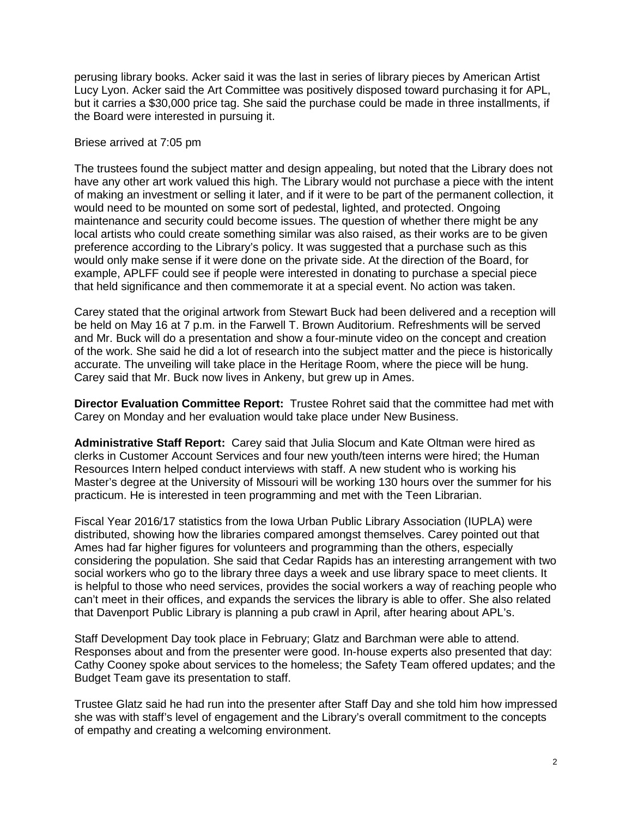perusing library books. Acker said it was the last in series of library pieces by American Artist Lucy Lyon. Acker said the Art Committee was positively disposed toward purchasing it for APL, but it carries a \$30,000 price tag. She said the purchase could be made in three installments, if the Board were interested in pursuing it.

#### Briese arrived at 7:05 pm

The trustees found the subject matter and design appealing, but noted that the Library does not have any other art work valued this high. The Library would not purchase a piece with the intent of making an investment or selling it later, and if it were to be part of the permanent collection, it would need to be mounted on some sort of pedestal, lighted, and protected. Ongoing maintenance and security could become issues. The question of whether there might be any local artists who could create something similar was also raised, as their works are to be given preference according to the Library's policy. It was suggested that a purchase such as this would only make sense if it were done on the private side. At the direction of the Board, for example, APLFF could see if people were interested in donating to purchase a special piece that held significance and then commemorate it at a special event. No action was taken.

Carey stated that the original artwork from Stewart Buck had been delivered and a reception will be held on May 16 at 7 p.m. in the Farwell T. Brown Auditorium. Refreshments will be served and Mr. Buck will do a presentation and show a four-minute video on the concept and creation of the work. She said he did a lot of research into the subject matter and the piece is historically accurate. The unveiling will take place in the Heritage Room, where the piece will be hung. Carey said that Mr. Buck now lives in Ankeny, but grew up in Ames.

**Director Evaluation Committee Report:** Trustee Rohret said that the committee had met with Carey on Monday and her evaluation would take place under New Business.

**Administrative Staff Report:** Carey said that Julia Slocum and Kate Oltman were hired as clerks in Customer Account Services and four new youth/teen interns were hired; the Human Resources Intern helped conduct interviews with staff. A new student who is working his Master's degree at the University of Missouri will be working 130 hours over the summer for his practicum. He is interested in teen programming and met with the Teen Librarian.

Fiscal Year 2016/17 statistics from the Iowa Urban Public Library Association (IUPLA) were distributed, showing how the libraries compared amongst themselves. Carey pointed out that Ames had far higher figures for volunteers and programming than the others, especially considering the population. She said that Cedar Rapids has an interesting arrangement with two social workers who go to the library three days a week and use library space to meet clients. It is helpful to those who need services, provides the social workers a way of reaching people who can't meet in their offices, and expands the services the library is able to offer. She also related that Davenport Public Library is planning a pub crawl in April, after hearing about APL's.

Staff Development Day took place in February; Glatz and Barchman were able to attend. Responses about and from the presenter were good. In-house experts also presented that day: Cathy Cooney spoke about services to the homeless; the Safety Team offered updates; and the Budget Team gave its presentation to staff.

Trustee Glatz said he had run into the presenter after Staff Day and she told him how impressed she was with staff's level of engagement and the Library's overall commitment to the concepts of empathy and creating a welcoming environment.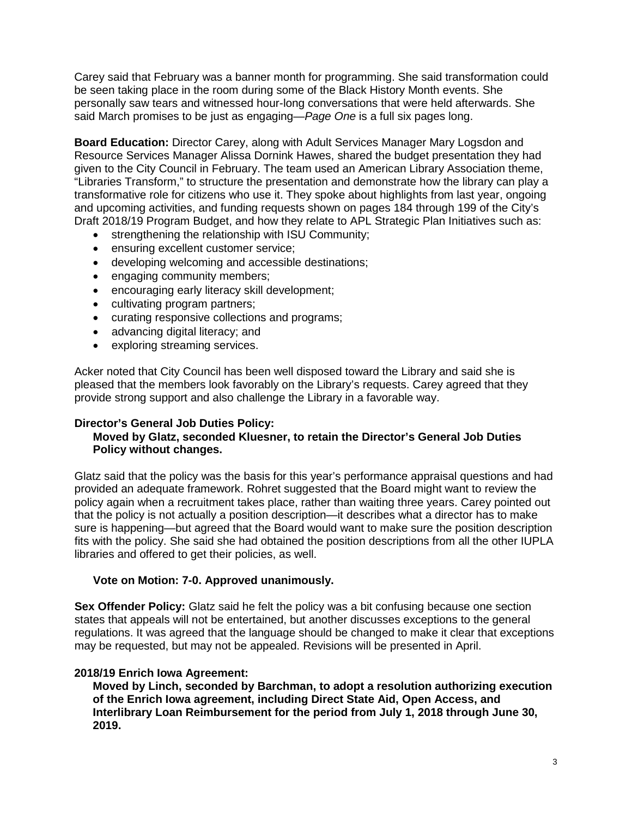Carey said that February was a banner month for programming. She said transformation could be seen taking place in the room during some of the Black History Month events. She personally saw tears and witnessed hour-long conversations that were held afterwards. She said March promises to be just as engaging—*Page One* is a full six pages long.

**Board Education:** Director Carey, along with Adult Services Manager Mary Logsdon and Resource Services Manager Alissa Dornink Hawes, shared the budget presentation they had given to the City Council in February. The team used an American Library Association theme, "Libraries Transform," to structure the presentation and demonstrate how the library can play a transformative role for citizens who use it. They spoke about highlights from last year, ongoing and upcoming activities, and funding requests shown on pages 184 through 199 of the City's Draft 2018/19 Program Budget, and how they relate to APL Strategic Plan Initiatives such as:

- strengthening the relationship with ISU Community;
- ensuring excellent customer service;
- developing welcoming and accessible destinations;
- engaging community members;
- encouraging early literacy skill development;
- cultivating program partners;
- curating responsive collections and programs;
- advancing digital literacy; and
- exploring streaming services.

Acker noted that City Council has been well disposed toward the Library and said she is pleased that the members look favorably on the Library's requests. Carey agreed that they provide strong support and also challenge the Library in a favorable way.

# **Director's General Job Duties Policy:**

# **Moved by Glatz, seconded Kluesner, to retain the Director's General Job Duties Policy without changes.**

Glatz said that the policy was the basis for this year's performance appraisal questions and had provided an adequate framework. Rohret suggested that the Board might want to review the policy again when a recruitment takes place, rather than waiting three years. Carey pointed out that the policy is not actually a position description—it describes what a director has to make sure is happening—but agreed that the Board would want to make sure the position description fits with the policy. She said she had obtained the position descriptions from all the other IUPLA libraries and offered to get their policies, as well.

#### **Vote on Motion: 7-0. Approved unanimously.**

**Sex Offender Policy:** Glatz said he felt the policy was a bit confusing because one section states that appeals will not be entertained, but another discusses exceptions to the general regulations. It was agreed that the language should be changed to make it clear that exceptions may be requested, but may not be appealed. Revisions will be presented in April.

# **2018/19 Enrich Iowa Agreement:**

**Moved by Linch, seconded by Barchman, to adopt a resolution authorizing execution of the Enrich Iowa agreement, including Direct State Aid, Open Access, and Interlibrary Loan Reimbursement for the period from July 1, 2018 through June 30, 2019.**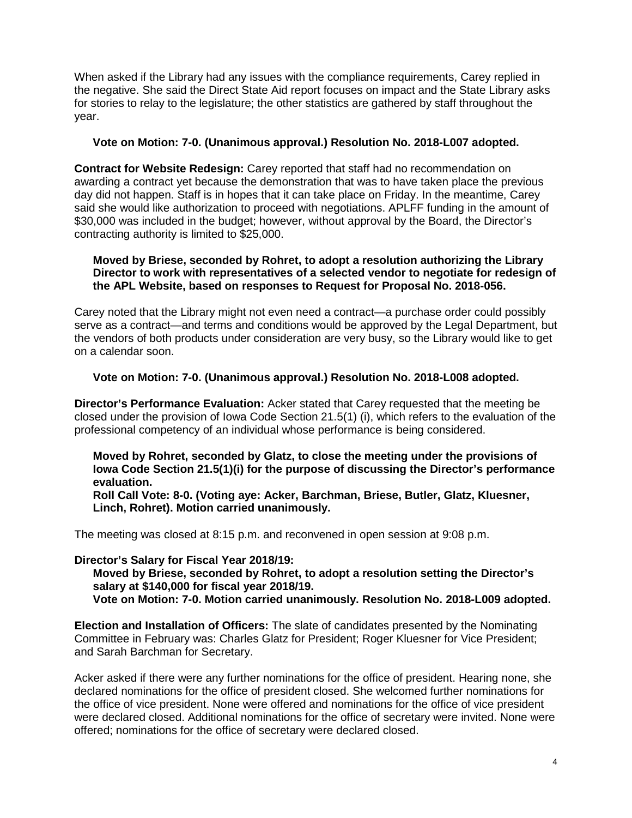When asked if the Library had any issues with the compliance requirements, Carey replied in the negative. She said the Direct State Aid report focuses on impact and the State Library asks for stories to relay to the legislature; the other statistics are gathered by staff throughout the year.

### **Vote on Motion: 7-0. (Unanimous approval.) Resolution No. 2018-L007 adopted.**

**Contract for Website Redesign:** Carey reported that staff had no recommendation on awarding a contract yet because the demonstration that was to have taken place the previous day did not happen. Staff is in hopes that it can take place on Friday. In the meantime, Carey said she would like authorization to proceed with negotiations. APLFF funding in the amount of \$30,000 was included in the budget; however, without approval by the Board, the Director's contracting authority is limited to \$25,000.

#### **Moved by Briese, seconded by Rohret, to adopt a resolution authorizing the Library Director to work with representatives of a selected vendor to negotiate for redesign of the APL Website, based on responses to Request for Proposal No. 2018-056.**

Carey noted that the Library might not even need a contract—a purchase order could possibly serve as a contract—and terms and conditions would be approved by the Legal Department, but the vendors of both products under consideration are very busy, so the Library would like to get on a calendar soon.

## **Vote on Motion: 7-0. (Unanimous approval.) Resolution No. 2018-L008 adopted.**

**Director's Performance Evaluation:** Acker stated that Carey requested that the meeting be closed under the provision of Iowa Code Section 21.5(1) (i), which refers to the evaluation of the professional competency of an individual whose performance is being considered.

**Moved by Rohret, seconded by Glatz, to close the meeting under the provisions of Iowa Code Section 21.5(1)(i) for the purpose of discussing the Director's performance evaluation.** 

**Roll Call Vote: 8-0. (Voting aye: Acker, Barchman, Briese, Butler, Glatz, Kluesner, Linch, Rohret). Motion carried unanimously.** 

The meeting was closed at 8:15 p.m. and reconvened in open session at 9:08 p.m.

#### **Director's Salary for Fiscal Year 2018/19:**

**Moved by Briese, seconded by Rohret, to adopt a resolution setting the Director's salary at \$140,000 for fiscal year 2018/19.**

**Vote on Motion: 7-0. Motion carried unanimously. Resolution No. 2018-L009 adopted.** 

**Election and Installation of Officers:** The slate of candidates presented by the Nominating Committee in February was: Charles Glatz for President; Roger Kluesner for Vice President; and Sarah Barchman for Secretary.

Acker asked if there were any further nominations for the office of president. Hearing none, she declared nominations for the office of president closed. She welcomed further nominations for the office of vice president. None were offered and nominations for the office of vice president were declared closed. Additional nominations for the office of secretary were invited. None were offered; nominations for the office of secretary were declared closed.